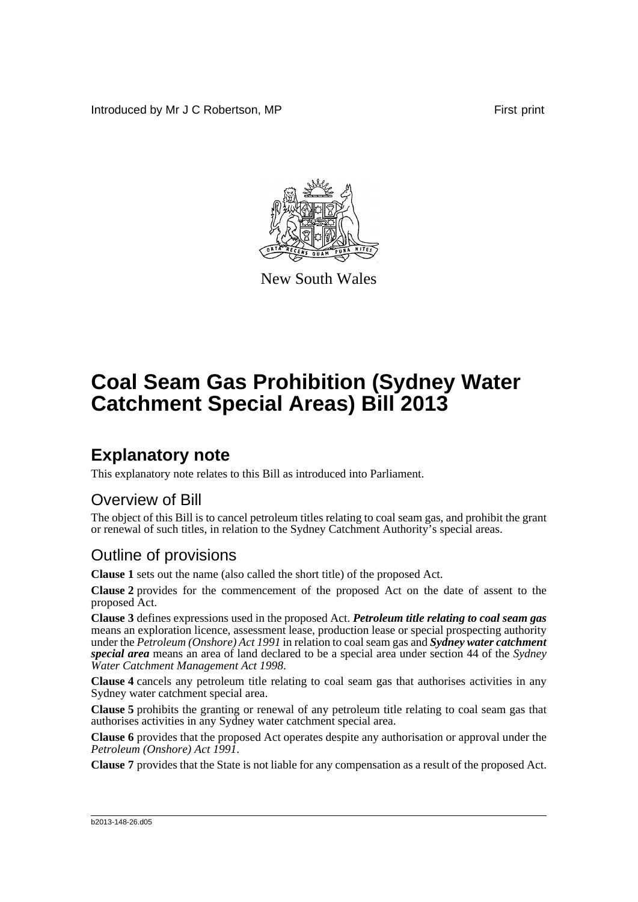Introduced by Mr J C Robertson, MP **First** print



New South Wales

# **Coal Seam Gas Prohibition (Sydney Water Catchment Special Areas) Bill 2013**

## **Explanatory note**

This explanatory note relates to this Bill as introduced into Parliament.

### Overview of Bill

The object of this Bill is to cancel petroleum titles relating to coal seam gas, and prohibit the grant or renewal of such titles, in relation to the Sydney Catchment Authority's special areas.

### Outline of provisions

**Clause 1** sets out the name (also called the short title) of the proposed Act.

**Clause 2** provides for the commencement of the proposed Act on the date of assent to the proposed Act.

**Clause 3** defines expressions used in the proposed Act. *Petroleum title relating to coal seam gas* means an exploration licence, assessment lease, production lease or special prospecting authority under the *Petroleum (Onshore) Act 1991* in relation to coal seam gas and *Sydney water catchment special area* means an area of land declared to be a special area under section 44 of the *Sydney Water Catchment Management Act 1998*.

**Clause 4** cancels any petroleum title relating to coal seam gas that authorises activities in any Sydney water catchment special area.

**Clause 5** prohibits the granting or renewal of any petroleum title relating to coal seam gas that authorises activities in any Sydney water catchment special area.

**Clause 6** provides that the proposed Act operates despite any authorisation or approval under the *Petroleum (Onshore) Act 1991*.

**Clause 7** provides that the State is not liable for any compensation as a result of the proposed Act.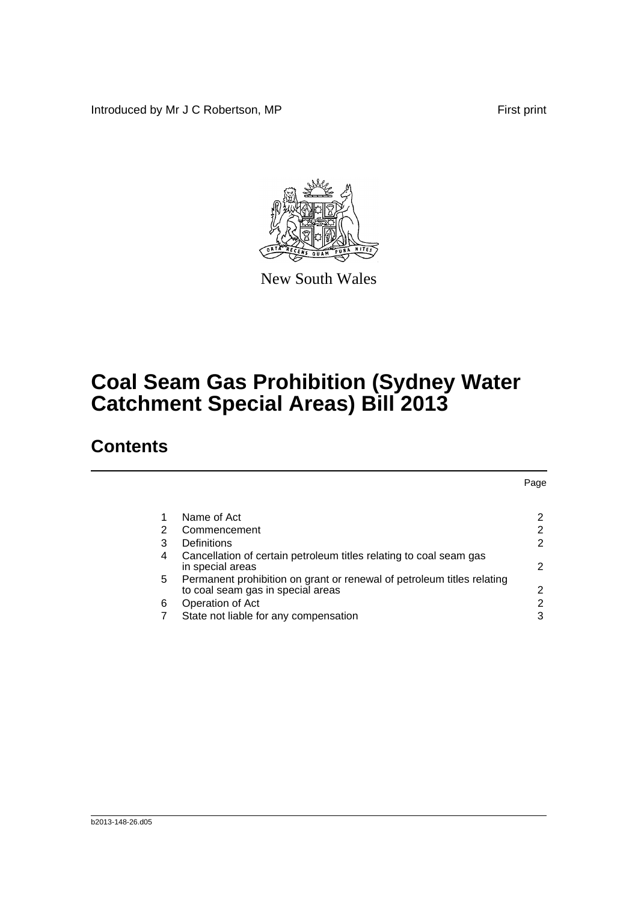Introduced by Mr J C Robertson, MP First print



New South Wales

## **Coal Seam Gas Prohibition (Sydney Water Catchment Special Areas) Bill 2013**

### **Contents**

|   |                                                                                                                  | Page |
|---|------------------------------------------------------------------------------------------------------------------|------|
|   |                                                                                                                  |      |
|   | Name of Act                                                                                                      |      |
|   | 2<br>Commencement                                                                                                | 2    |
|   | 3<br>Definitions                                                                                                 | 2    |
| 4 | Cancellation of certain petroleum titles relating to coal seam gas<br>in special areas                           | 2    |
|   | Permanent prohibition on grant or renewal of petroleum titles relating<br>5<br>to coal seam gas in special areas | 2    |
| 6 | Operation of Act                                                                                                 | 2    |
|   | State not liable for any compensation                                                                            | 3    |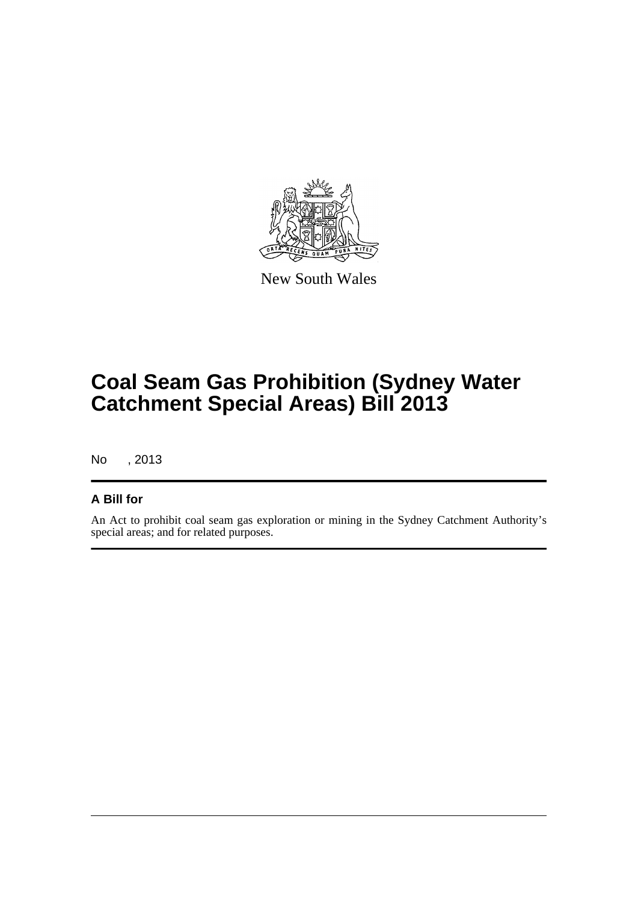

New South Wales

## **Coal Seam Gas Prohibition (Sydney Water Catchment Special Areas) Bill 2013**

No , 2013

#### **A Bill for**

An Act to prohibit coal seam gas exploration or mining in the Sydney Catchment Authority's special areas; and for related purposes.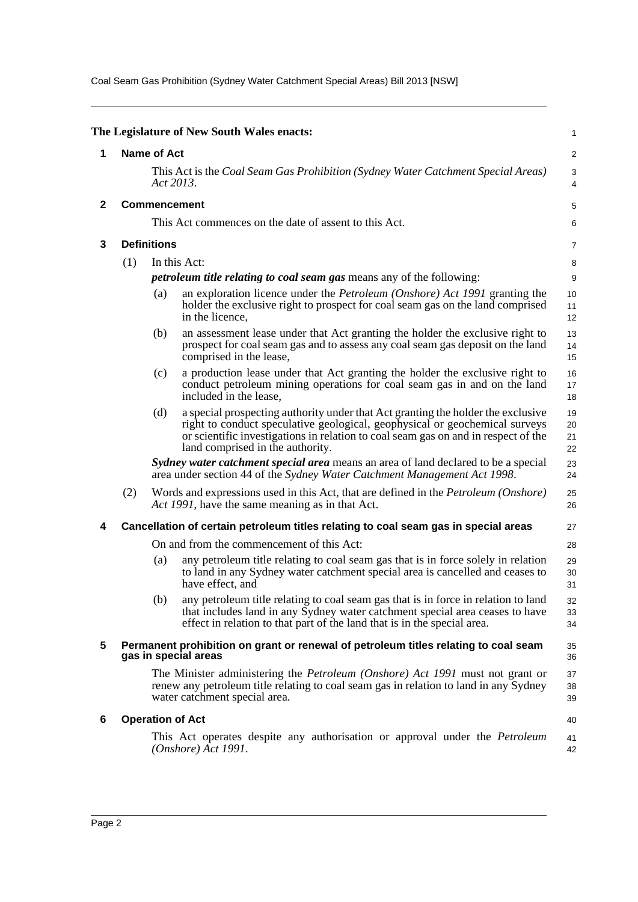Coal Seam Gas Prohibition (Sydney Water Catchment Special Areas) Bill 2013 [NSW]

<span id="page-3-5"></span><span id="page-3-4"></span><span id="page-3-3"></span><span id="page-3-2"></span><span id="page-3-1"></span><span id="page-3-0"></span>

|              |                                                                                                                                                                                                                |                                                                              | The Legislature of New South Wales enacts:                                                                                                                                                                                                                                                | 1                    |  |
|--------------|----------------------------------------------------------------------------------------------------------------------------------------------------------------------------------------------------------------|------------------------------------------------------------------------------|-------------------------------------------------------------------------------------------------------------------------------------------------------------------------------------------------------------------------------------------------------------------------------------------|----------------------|--|
| 1            |                                                                                                                                                                                                                | <b>Name of Act</b>                                                           |                                                                                                                                                                                                                                                                                           | $\overline{2}$       |  |
|              |                                                                                                                                                                                                                | Act 2013.                                                                    | This Act is the Coal Seam Gas Prohibition (Sydney Water Catchment Special Areas)                                                                                                                                                                                                          | 3<br>$\overline{4}$  |  |
| $\mathbf{2}$ |                                                                                                                                                                                                                |                                                                              | <b>Commencement</b>                                                                                                                                                                                                                                                                       | 5                    |  |
|              |                                                                                                                                                                                                                |                                                                              | This Act commences on the date of assent to this Act.                                                                                                                                                                                                                                     | 6                    |  |
| 3            |                                                                                                                                                                                                                | <b>Definitions</b>                                                           |                                                                                                                                                                                                                                                                                           | $\overline{7}$       |  |
|              | (1)                                                                                                                                                                                                            |                                                                              | In this Act:                                                                                                                                                                                                                                                                              | 8                    |  |
|              |                                                                                                                                                                                                                | <i>petroleum title relating to coal seam gas means any of the following:</i> |                                                                                                                                                                                                                                                                                           |                      |  |
|              |                                                                                                                                                                                                                | (a)                                                                          | an exploration licence under the <i>Petroleum (Onshore)</i> Act 1991 granting the<br>holder the exclusive right to prospect for coal seam gas on the land comprised<br>in the licence,                                                                                                    | 10<br>11<br>12       |  |
|              |                                                                                                                                                                                                                | (b)                                                                          | an assessment lease under that Act granting the holder the exclusive right to<br>prospect for coal seam gas and to assess any coal seam gas deposit on the land<br>comprised in the lease,                                                                                                | 13<br>14<br>15       |  |
|              |                                                                                                                                                                                                                | (c)                                                                          | a production lease under that Act granting the holder the exclusive right to<br>conduct petroleum mining operations for coal seam gas in and on the land<br>included in the lease.                                                                                                        | 16<br>17<br>18       |  |
|              |                                                                                                                                                                                                                | (d)                                                                          | a special prospecting authority under that Act granting the holder the exclusive<br>right to conduct speculative geological, geophysical or geochemical surveys<br>or scientific investigations in relation to coal seam gas on and in respect of the<br>land comprised in the authority. | 19<br>20<br>21<br>22 |  |
|              |                                                                                                                                                                                                                |                                                                              | Sydney water catchment special area means an area of land declared to be a special<br>area under section 44 of the Sydney Water Catchment Management Act 1998.                                                                                                                            | 23<br>24             |  |
|              | (2)                                                                                                                                                                                                            |                                                                              | Words and expressions used in this Act, that are defined in the <i>Petroleum (Onshore)</i><br>Act 1991, have the same meaning as in that Act.                                                                                                                                             | 25<br>26             |  |
| 4            |                                                                                                                                                                                                                |                                                                              | Cancellation of certain petroleum titles relating to coal seam gas in special areas                                                                                                                                                                                                       | 27                   |  |
|              |                                                                                                                                                                                                                |                                                                              | On and from the commencement of this Act:                                                                                                                                                                                                                                                 | 28                   |  |
|              |                                                                                                                                                                                                                | (a)                                                                          | any petroleum title relating to coal seam gas that is in force solely in relation<br>to land in any Sydney water catchment special area is cancelled and ceases to<br>have effect, and                                                                                                    | 29<br>30<br>31       |  |
|              |                                                                                                                                                                                                                | (b)                                                                          | any petroleum title relating to coal seam gas that is in force in relation to land<br>that includes land in any Sydney water catchment special area ceases to have<br>effect in relation to that part of the land that is in the special area.                                            | 32<br>33<br>34       |  |
| 5            |                                                                                                                                                                                                                |                                                                              | Permanent prohibition on grant or renewal of petroleum titles relating to coal seam<br>gas in special areas                                                                                                                                                                               | 35<br>36             |  |
|              | The Minister administering the <i>Petroleum (Onshore)</i> Act 1991 must not grant or<br>renew any petroleum title relating to coal seam gas in relation to land in any Sydney<br>water catchment special area. |                                                                              |                                                                                                                                                                                                                                                                                           |                      |  |
| 6            |                                                                                                                                                                                                                |                                                                              | <b>Operation of Act</b>                                                                                                                                                                                                                                                                   | 40                   |  |
|              |                                                                                                                                                                                                                |                                                                              | This Act operates despite any authorisation or approval under the <i>Petroleum</i><br>(Onshore) Act 1991.                                                                                                                                                                                 | 41<br>42             |  |